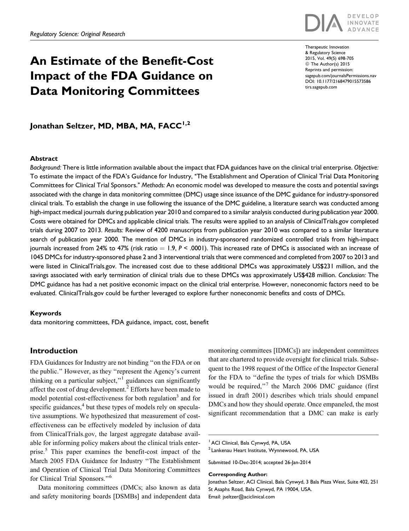# An Estimate of the Benefit-Cost Impact of the FDA Guidance on Data Monitoring Committees



Therapeutic Innovation & Regulatory Science 2015, Vol. 49(5) 698-705 ª The Author(s) 2015 Reprints and permission: [sagepub.com/journalsPermissions.nav](http://www.sagepub.com/journalsPermissions.nav) DOI: 10.1177/2168479015573586 [tirs.sagepub.com](http://tirs.sagepub.com)

# Jonathan Seltzer, MD, MBA, MA, FACC<sup>1,2</sup>

#### Abstract

Background: There is little information available about the impact that FDA guidances have on the clinical trial enterprise. Objective: To estimate the impact of the FDA's Guidance for Industry, ''The Establishment and Operation of Clinical Trial Data Monitoring Committees for Clinical Trial Sponsors.'' Methods: An economic model was developed to measure the costs and potential savings associated with the change in data monitoring committee (DMC) usage since issuance of the DMC guidance for industry-sponsored clinical trials. To establish the change in use following the issuance of the DMC guideline, a literature search was conducted among high-impact medical journals during publication year 2010 and compared to a similar analysis conducted during publication year 2000. Costs were obtained for DMCs and applicable clinical trials. The results were applied to an analysis of ClinicalTrials.gov completed trials during 2007 to 2013. Results: Review of 4200 manuscripts from publication year 2010 was compared to a similar literature search of publication year 2000. The mention of DMCs in industry-sponsored randomized controlled trials from high-impact journals increased from 24% to 47% (risk ratio  $= 1.9, P < .0001$ ). This increased rate of DMCs is associated with an increase of 1045 DMCs for industry-sponsored phase 2 and 3 interventional trials that were commenced and completed from 2007 to 2013 and were listed in ClinicalTrials.gov. The increased cost due to these additional DMCs was approximately US\$231 million, and the savings associated with early termination of clinical trials due to these DMCs was approximately US\$428 million. Conclusion: The DMC guidance has had a net positive economic impact on the clinical trial enterprise. However, noneconomic factors need to be evaluated. ClinicalTrials.gov could be further leveraged to explore further noneconomic benefits and costs of DMCs.

#### Keywords

data monitoring committees, FDA guidance, impact, cost, benefit

# Introduction

FDA Guidances for Industry are not binding ''on the FDA or on the public.'' However, as they ''represent the Agency's current thinking on a particular subject,"<sup>1</sup> guidances can significantly affect the cost of drug development.<sup>2</sup> Efforts have been made to model potential cost-effectiveness for both regulation<sup>3</sup> and for specific guidances,<sup>4</sup> but these types of models rely on speculative assumptions. We hypothesized that measurement of costeffectiveness can be effectively modeled by inclusion of data from ClinicalTrials.gov, the largest aggregate database available for informing policy makers about the clinical trials enterprise.<sup>5</sup> This paper examines the benefit-cost impact of the March 2005 FDA Guidance for Industry ''The Establishment and Operation of Clinical Trial Data Monitoring Committees for Clinical Trial Sponsors."<sup>6</sup>

Data monitoring committees (DMCs; also known as data and safety monitoring boards [DSMBs] and independent data

monitoring committees [IDMCs]) are independent committees that are chartered to provide oversight for clinical trials. Subsequent to the 1998 request of the Office of the Inspector General for the FDA to ''define the types of trials for which DSMBs would be required,"<sup>7</sup> the March 2006 DMC guidance (first issued in draft 2001) describes which trials should empanel DMCs and how they should operate. Once empaneled, the most significant recommendation that a DMC can make is early

Corresponding Author:

<sup>&</sup>lt;sup>1</sup> ACI Clinical, Bala Cynwyd, PA, USA

<sup>&</sup>lt;sup>2</sup> Lankenau Heart Institute, Wynnewood, PA, USA

Submitted 10-Dec-2014; accepted 26-Jan-2014

Jonathan Seltzer, ACI Clinical, Bala Cynwyd, 3 Bala Plaza West, Suite 402, 251 St Asaphs Road, Bala Cynwyd, PA 19004, USA. Email: jseltzer@aciclinical.com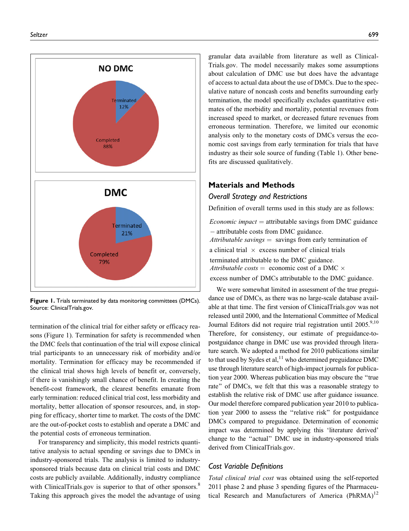

Figure 1. Trials terminated by data monitoring committees (DMCs). Source: ClinicalTrials.gov.

termination of the clinical trial for either safety or efficacy reasons (Figure 1). Termination for safety is recommended when the DMC feels that continuation of the trial will expose clinical trial participants to an unnecessary risk of morbidity and/or mortality. Termination for efficacy may be recommended if the clinical trial shows high levels of benefit or, conversely, if there is vanishingly small chance of benefit. In creating the benefit-cost framework, the clearest benefits emanate from early termination: reduced clinical trial cost, less morbidity and mortality, better allocation of sponsor resources, and, in stopping for efficacy, shorter time to market. The costs of the DMC are the out-of-pocket costs to establish and operate a DMC and the potential costs of erroneous termination.

For transparency and simplicity, this model restricts quantitative analysis to actual spending or savings due to DMCs in industry-sponsored trials. The analysis is limited to industrysponsored trials because data on clinical trial costs and DMC costs are publicly available. Additionally, industry compliance with ClinicalTrials.gov is superior to that of other sponsors.<sup>8</sup> Taking this approach gives the model the advantage of using granular data available from literature as well as Clinical-Trials.gov. The model necessarily makes some assumptions about calculation of DMC use but does have the advantage of access to actual data about the use of DMCs. Due to the speculative nature of noncash costs and benefits surrounding early termination, the model specifically excludes quantitative estimates of the morbidity and mortality, potential revenues from increased speed to market, or decreased future revenues from erroneous termination. Therefore, we limited our economic analysis only to the monetary costs of DMCs versus the economic cost savings from early termination for trials that have industry as their sole source of funding (Table 1). Other benefits are discussed qualitatively.

# Materials and Methods

## Overall Strategy and Restrictions

Definition of overall terms used in this study are as follows:

*Economic impact*  $=$  attributable savings from DMC guidance - attributable costs from DMC guidance: Attributable savings  $=$  savings from early termination of a clinical trial  $\times$  excess number of clinical trials terminated attributable to the DMC guidance: Attributable costs = economic cost of a DMC  $\times$ 

excess number of DMCs attributable to the DMC guidance:

We were somewhat limited in assessment of the true preguidance use of DMCs, as there was no large-scale database available at that time. The first version of ClinicalTrials.gov was not released until 2000, and the International Committee of Medical Journal Editors did not require trial registration until 2005.<sup>9,10</sup> Therefore, for consistency, our estimate of preguidance-topostguidance change in DMC use was provided through literature search. We adopted a method for 2010 publications similar to that used by Sydes et al, $^{11}$  who determined preguidance DMC use through literature search of high-impact journals for publication year 2000. Whereas publication bias may obscure the ''true rate'' of DMCs, we felt that this was a reasonable strategy to establish the relative risk of DMC use after guidance issuance. Our model therefore compared publication year 2010 to publication year 2000 to assess the ''relative risk'' for postguidance DMCs compared to preguidance. Determination of economic impact was determined by applying this 'literature derived' change to the ''actual'' DMC use in industry-sponsored trials derived from ClinicalTrials.gov.

# Cost Variable Definitions

Total clinical trial cost was obtained using the self-reported 2011 phase 2 and phase 3 spending figures of the Pharmaceutical Research and Manufacturers of America (PhRMA)<sup>12</sup>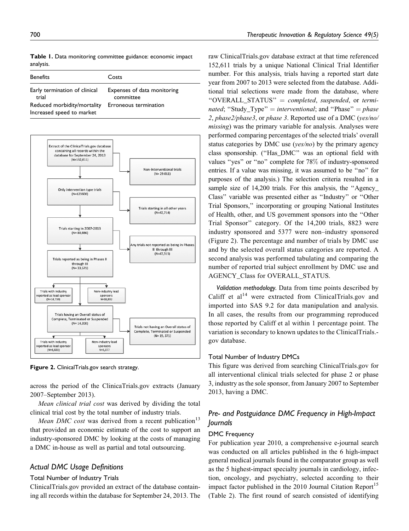| <b>Benefits</b>                                                                                    | Costs                                                             |
|----------------------------------------------------------------------------------------------------|-------------------------------------------------------------------|
| Early termination of clinical<br>trial<br>Reduced morbidity/mortality<br>Increased speed to market | Expenses of data monitoring<br>committee<br>Erroneous termination |



Figure 2. ClinicalTrials.gov search strategy.

across the period of the ClinicaTrials.gov extracts (January 2007–September 2013).

Mean clinical trial cost was derived by dividing the total clinical trial cost by the total number of industry trials.

Mean DMC cost was derived from a recent publication<sup>13</sup> that provided an economic estimate of the cost to support an industry-sponsored DMC by looking at the costs of managing a DMC in-house as well as partial and total outsourcing.

# Actual DMC Usage Definitions

#### Total Number of Industry Trials

ClinicalTrials.gov provided an extract of the database containing all records within the database for September 24, 2013. The

raw ClinicalTrials.gov database extract at that time referenced 152,611 trials by a unique National Clinical Trial Identifier number. For this analysis, trials having a reported start date year from 2007 to 2013 were selected from the database. Additional trial selections were made from the database, where " $OVERALL_STATUS" = completed, suspended, or termin$ nated; "Study\_Type" = interventional; and "Phase" = phase 2, phase2/phase3, or phase 3. Reported use of a DMC (yes/no/ missing) was the primary variable for analysis. Analyses were performed comparing percentages of the selected trials' overall status categories by DMC use ( $\gamma$ es/no) by the primary agency class sponsorship. (''Has\_DMC'' was an optional field with values ''yes'' or ''no'' complete for 78% of industry-sponsored entries. If a value was missing, it was assumed to be ''no'' for purposes of the analysis.) The selection criteria resulted in a sample size of 14,200 trials. For this analysis, the "Agency\_ Class'' variable was presented either as ''Industry'' or ''Other Trial Sponsors,'' incorporating or grouping National Institutes of Health, other, and US government sponsors into the ''Other Trial Sponsor'' category. Of the 14,200 trials, 8823 were industry sponsored and 5377 were non–industry sponsored (Figure 2). The percentage and number of trials by DMC use and by the selected overall status categories are reported. A second analysis was performed tabulating and comparing the number of reported trial subject enrollment by DMC use and AGENCY\_Class for OVERALL\_STATUS.

Validation methodology. Data from time points described by Califf et  $al<sup>14</sup>$  were extracted from ClinicalTrials.gov and imported into SAS 9.2 for data manipulation and analysis. In all cases, the results from our programming reproduced those reported by Califf et al within 1 percentage point. The variation is secondary to known updates to the ClinicalTrials. gov database.

## Total Number of Industry DMCs

This figure was derived from searching ClinicalTrials.gov for all interventional clinical trials selected for phase 2 or phase 3, industry as the sole sponsor, from January 2007 to September 2013, having a DMC.

# Pre- and Postguidance DMC Frequency in High-Impact Journals

## DMC Frequency

For publication year 2010, a comprehensive e-journal search was conducted on all articles published in the 6 high-impact general medical journals found in the comparator group as well as the 5 highest-impact specialty journals in cardiology, infection, oncology, and psychiatry, selected according to their impact factor published in the 2010 Journal Citation Report<sup>15</sup> (Table 2). The first round of search consisted of identifying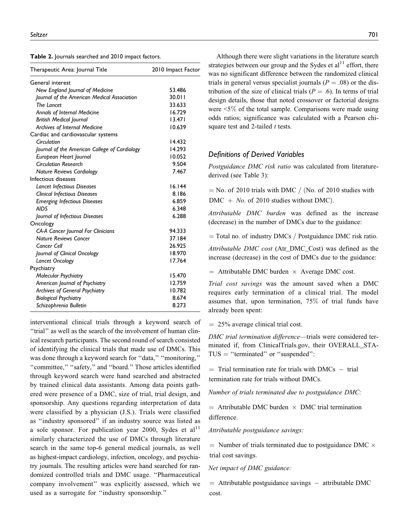|  |  |  |  | <b>Table 2.</b> Journals searched and 2010 impact factors. |  |  |  |  |
|--|--|--|--|------------------------------------------------------------|--|--|--|--|
|--|--|--|--|------------------------------------------------------------|--|--|--|--|

| Therapeutic Area: Journal Title               | 2010 Impact Factor |
|-----------------------------------------------|--------------------|
| General interest                              |                    |
| New England Journal of Medicine               | 53.486             |
| Journal of the American Medical Association   | 30.011             |
| The Lancet                                    | 33.633             |
| Annals of Internal Medicine                   | 16.729             |
| <b>British Medical Journal</b>                | 13.471             |
| Archives of Internal Medicine                 | 10.639             |
| Cardiac and cardiovascular systems            |                    |
| Circulation                                   | 14.432             |
| Journal of the American College of Cardiology | 14.293             |
| European Heart Journal                        | 10.052             |
| <b>Circulation Research</b>                   | 9.504              |
| <b>Nature Reviews Cardiology</b>              | 7.467              |
| Infectious diseases                           |                    |
| <b>Lancet Infectious Diseases</b>             | 16.144             |
| <b>Clinical Infectious Diseases</b>           | 8.186              |
| <b>Emerging Infectious Diseases</b>           | 6.859              |
| <b>AIDS</b>                                   | 6.348              |
| Journal of Infectious Diseases                | 6.288              |
| Oncology                                      |                    |
| <b>CA-A Cancer Journal For Clinicians</b>     | 94.333             |
| <b>Nature Reviews Cancer</b>                  | 37.184             |
| Cancer Cell                                   | 26.925             |
| Journal of Clinical Oncology                  | 18.970             |
| Lancet Oncology                               | 17.764             |
| Psychiatry                                    |                    |
| <b>Molecular Psychiatry</b>                   | 15.470             |
| American Journal of Psychiatry                | 12.759             |
| <b>Archives of General Psychiatry</b>         | 10.782             |
| <b>Biological Psychiatry</b>                  | 8.674              |
| Schizophrenia Bulletin                        | 8.273              |

interventional clinical trials through a keyword search of ''trial'' as well as the search of the involvement of human clinical research participants. The second round of search consisted of identifying the clinical trials that made use of DMCs. This was done through a keyword search for "data," "monitoring," ''committee,'' ''safety,'' and ''board.'' Those articles identified through keyword search were hand searched and abstracted by trained clinical data assistants. Among data points gathered were presence of a DMC, size of trial, trial design, and sponsorship. Any questions regarding interpretation of data were classified by a physician (J.S.). Trials were classified as ''industry sponsored'' if an industry source was listed as a sole sponsor. For publication year 2000, Sydes et al<sup>11</sup> similarly characterized the use of DMCs through literature search in the same top-6 general medical journals, as well as highest-impact cardiology, infection, oncology, and psychiatry journals. The resulting articles were hand searched for randomized controlled trials and DMC usage. ''Pharmaceutical company involvement'' was explicitly assessed, which we used as a surrogate for ''industry sponsorship.''

Although there were slight variations in the literature search strategies between our group and the Sydes et  $al<sup>11</sup>$  effort, there was no significant difference between the randomized clinical trials in general versus specialist journals ( $P = .08$ ) or the distribution of the size of clinical trials ( $P = .6$ ). In terms of trial design details, those that noted crossover or factorial designs were <5% of the total sample. Comparisons were made using odds ratios; significance was calculated with a Pearson chisquare test and 2-tailed  $t$  tests.

## Definitions of Derived Variables

Postguidance DMC risk ratio was calculated from literaturederived (see Table 3):

 $N = No.$  of 2010 trials with DMC / (No. of 2010 studies with  $DMC + No.$  of 2010 studies without DMC).

Attributable DMC burden was defined as the increase (decrease) in the number of DMCs due to the guidance:

 $=$  Total no. of industry DMCs / Postguidance DMC risk ratio.

Attributable DMC cost (Atr\_DMC\_Cost) was defined as the increase (decrease) in the cost of DMCs due to the guidance:

 $=$  Attributable DMC burden  $\times$  Average DMC cost.

Trial cost savings was the amount saved when a DMC requires early termination of a clinical trial. The model assumes that, upon termination, 75% of trial funds have already been spent:

 $= 25\%$  average clinical trial cost.

DMC trial termination difference—trials were considered terminated if, from ClinicalTrials.gov, their OVERALL\_STA- $TUS = "terminated" or "suspended":$ 

 $=$  Trial termination rate for trials with DMCs  $-$  trial termination rate for trials without DMCs:

Number of trials terminated due to postguidance DMC:

 $=$  Attributable DMC burden  $\times$  DMC trial termination difference.

Attributable postguidance savings:

 $=$  Number of trials terminated due to postguidance DMC  $\times$ trial cost savings:

Net impact of DMC guidance:

= Attributable postguidance savings - attributable DMC cost: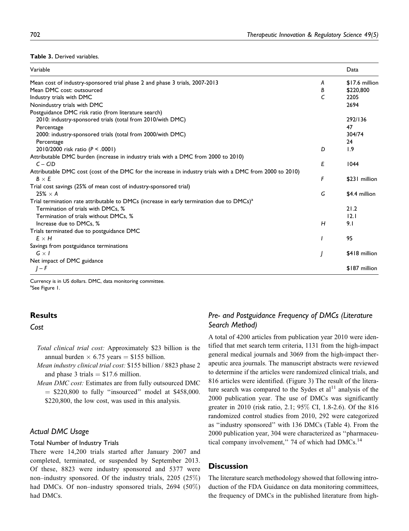#### Table 3. Derived variables.

| Variable                                                                                                 |   | Data           |
|----------------------------------------------------------------------------------------------------------|---|----------------|
| Mean cost of industry-sponsored trial phase 2 and phase 3 trials, 2007-2013                              | A | \$17.6 million |
| Mean DMC cost: outsourced                                                                                | В | \$220,800      |
| Industry trials with DMC                                                                                 | C | 2205           |
| Nonindustry trials with DMC                                                                              |   | 2694           |
| Postguidance DMC risk ratio (from literature search)                                                     |   |                |
| 2010: industry-sponsored trials (total from 2010/with DMC)                                               |   | 292/136        |
| Percentage                                                                                               |   | 47             |
| 2000: industry-sponsored trials (total from 2000/with DMC)                                               |   | 304/74         |
| Percentage                                                                                               |   | 24             |
| 2010/2000 risk ratio (P < .0001)                                                                         | D | 1.9            |
| Attributable DMC burden (increase in industry trials with a DMC from 2000 to 2010)                       |   |                |
| $C - C/D$                                                                                                | E | 1044           |
| Attributable DMC cost (cost of the DMC for the increase in industry trials with a DMC from 2000 to 2010) |   |                |
| $B \times E$                                                                                             | F | \$231 million  |
| Trial cost savings (25% of mean cost of industry-sponsored trial)                                        |   |                |
| $25\% \times A$                                                                                          | G | \$4.4 million  |
| Trial termination rate attributable to DMCs (increase in early termination due to DMCs) <sup>a</sup>     |   |                |
| Termination of trials with DMCs, %                                                                       |   | 21.2           |
| Termination of trials without DMCs, %                                                                    |   | 12.1           |
| Increase due to DMCs, %                                                                                  | н | 9.1            |
| Trials terminated due to postguidance DMC                                                                |   |                |
| $E \times H$                                                                                             |   | 95             |
| Savings from postguidance terminations                                                                   |   |                |
| $G \times I$                                                                                             |   | \$418 million  |
| Net impact of DMC guidance                                                                               |   |                |
| $I-F$                                                                                                    |   | \$187 million  |

Currency is in US dollars. DMC, data monitoring committee. <sup>a</sup>See Figure 1.

# **Results**

## Cost

- Total clinical trial cost: Approximately \$23 billion is the annual burden  $\times$  6.75 years = \$155 billion.
- Mean industry clinical trial cost: \$155 billion / 8823 phase 2 and phase 3 trials  $= $17.6$  million.
- Mean DMC cost: Estimates are from fully outsourced DMC  $=$  \$220,800 to fully "insourced" model at \$458,000. \$220,800, the low cost, was used in this analysis.

# Actual DMC Usage

## Total Number of Industry Trials

There were 14,200 trials started after January 2007 and completed, terminated, or suspended by September 2013. Of these, 8823 were industry sponsored and 5377 were non–industry sponsored. Of the industry trials, 2205 (25%) had DMCs. Of non–industry sponsored trials, 2694 (50%) had DMCs.

# Pre- and Postguidance Frequency of DMCs (Literature Search Method)

A total of 4200 articles from publication year 2010 were identified that met search term criteria, 1131 from the high-impact general medical journals and 3069 from the high-impact therapeutic area journals. The manuscript abstracts were reviewed to determine if the articles were randomized clinical trials, and 816 articles were identified. (Figure 3) The result of the literature search was compared to the Sydes et  $al<sup>11</sup>$  analysis of the 2000 publication year. The use of DMCs was significantly greater in 2010 (risk ratio, 2.1; 95% CI, 1.8-2.6). Of the 816 randomized control studies from 2010, 292 were categorized as ''industry sponsored'' with 136 DMCs (Table 4). From the 2000 publication year, 304 were characterized as ''pharmaceutical company involvement," 74 of which had  $DMCs$ .<sup>14</sup>

# **Discussion**

The literature search methodology showed that following introduction of the FDA Guidance on data monitoring committees, the frequency of DMCs in the published literature from high-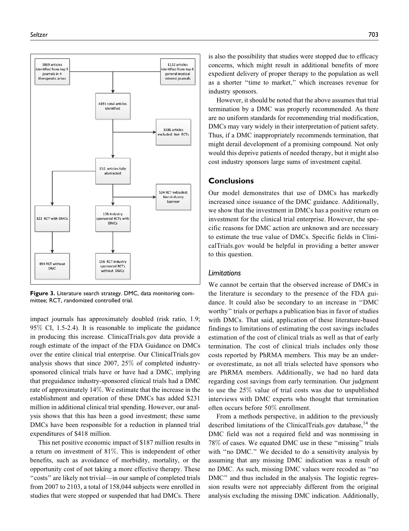

Figure 3. Literature search strategy. DMC, data monitoring committee; RCT, randomized controlled trial.

impact journals has approximately doubled (risk ratio, 1.9; 95% CI, 1.5-2.4). It is reasonable to implicate the guidance in producing this increase. ClinicalTrials.gov data provide a rough estimate of the impact of the FDA Guidance on DMCs over the entire clinical trial enterprise. Our ClinicalTrials.gov analysis shows that since 2007, 25% of completed industrysponsored clinical trials have or have had a DMC, implying that preguidance industry-sponsored clinical trials had a DMC rate of approximately 14%. We estimate that the increase in the establishment and operation of these DMCs has added \$231 million in additional clinical trial spending. However, our analysis shows that this has been a good investment; these same DMCs have been responsible for a reduction in planned trial expenditures of \$418 million.

This net positive economic impact of \$187 million results in a return on investment of 81%. This is independent of other benefits, such as avoidance of morbidity, mortality, or the opportunity cost of not taking a more effective therapy. These ''costs'' are likely not trivial—in our sample of completed trials from 2007 to 2103, a total of 158,044 subjects were enrolled in studies that were stopped or suspended that had DMCs. There

is also the possibility that studies were stopped due to efficacy concerns, which might result in additional benefits of more expedient delivery of proper therapy to the population as well as a shorter ''time to market,'' which increases revenue for industry sponsors.

However, it should be noted that the above assumes that trial termination by a DMC was properly recommended. As there are no uniform standards for recommending trial modification, DMCs may vary widely in their interpretation of patient safety. Thus, if a DMC inappropriately recommends termination, that might derail development of a promising compound. Not only would this deprive patients of needed therapy, but it might also cost industry sponsors large sums of investment capital.

# **Conclusions**

Our model demonstrates that use of DMCs has markedly increased since issuance of the DMC guidance. Additionally, we show that the investment in DMCs has a positive return on investment for the clinical trial enterprise. However, the specific reasons for DMC action are unknown and are necessary to estimate the true value of DMCs. Specific fields in ClinicalTrials.gov would be helpful in providing a better answer to this question.

## Limitations

We cannot be certain that the observed increase of DMCs in the literature is secondary to the presence of the FDA guidance. It could also be secondary to an increase in ''DMC worthy'' trials or perhaps a publication bias in favor of studies with DMCs. That said, application of these literature-based findings to limitations of estimating the cost savings includes estimation of the cost of clinical trials as well as that of early termination. The cost of clinical trials includes only those costs reported by PhRMA members. This may be an underor overestimate, as not all trials selected have sponsors who are PhRMA members. Additionally, we had no hard data regarding cost savings from early termination. Our judgment to use the 25% value of trial costs was due to unpublished interviews with DMC experts who thought that termination often occurs before 50% enrollment.

From a methods perspective, in addition to the previously described limitations of the ClinicalTrials.gov database, $14$  the DMC field was not a required field and was nonmissing in 78% of cases. We equated DMC use in these ''missing'' trials with "no DMC." We decided to do a sensitivity analysis by assuming that any missing DMC indication was a result of no DMC. As such, missing DMC values were recoded as ''no DMC" and thus included in the analysis. The logistic regression results were not appreciably different from the original analysis excluding the missing DMC indication. Additionally,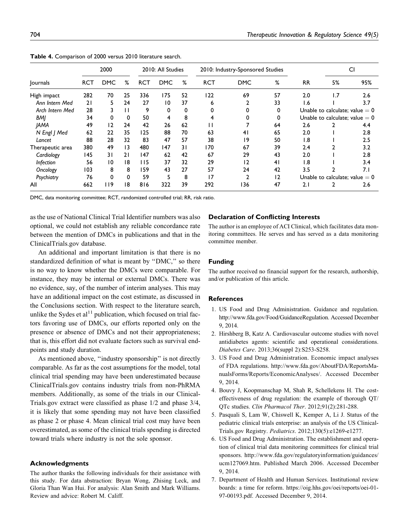|                  | 2000       |            | 2010: All Studies |            |            | 2010: Industry-Sponsored Studies |            |            |    | CI                               |     |     |
|------------------|------------|------------|-------------------|------------|------------|----------------------------------|------------|------------|----|----------------------------------|-----|-----|
| Journals         | <b>RCT</b> | <b>DMC</b> | %                 | <b>RCT</b> | <b>DMC</b> | %                                | <b>RCT</b> | <b>DMC</b> | %  | <b>RR</b>                        | 5%  | 95% |
| High impact      | 282        | 70         | 25                | 336        | 175        | 52                               | 122        | 69         | 57 | 2.0                              | 1.7 | 2.6 |
| Ann Intern Med   | 21         | 5          | 24                | 27         | 10         | 37                               | 6          |            | 33 | 1.6                              |     | 3.7 |
| Arch Intern Med  | 28         | 3          | $\mathbf{H}$      | 9          | 0          | 0                                | $\Omega$   |            | 0  | Unable to calculate; value $= 0$ |     |     |
| BMI              | 34         | 0          | $\Omega$          | 50         | 4          | 8                                | 4          |            | 0  | Unable to calculate; value $= 0$ |     |     |
| <b>JAMA</b>      | 49         | 12         | 24                | 42         | 26         | 62                               | П          |            | 64 | 2.6                              |     | 4.4 |
| N Engl J Med     | 62         | 22         | 35                | 125        | 88         | 70                               | 63         | 41         | 65 | 2.0                              |     | 2.8 |
| Lancet           | 88         | 28         | 32                | 83         | 47         | 57                               | 38         | 9          | 50 | 1.8                              |     | 2.5 |
| Therapeutic area | 380        | 49         | 13                | 480        | 147        | 31                               | 170        | 67         | 39 | 2.4                              | 2   | 3.2 |
| Cardiology       | 145        | 31         | 21                | 147        | 62         | 42                               | 67         | 29         | 43 | 2.0                              |     | 2.8 |
| Infection        | 56         | 10         | 18                | 115        | 37         | 32                               | 29         | 12         | 41 | $\overline{1.8}$                 |     | 3.4 |
| Oncology         | 103        | 8          | 8                 | 159        | 43         | 27                               | 57         | 24         | 42 | 3.5                              | າ   | 7.1 |
| Psychiatry       | 76         | 0          | $\Omega$          | 59         | 5          | 8                                | 17         | 2          | 12 | Unable to calculate; value $= 0$ |     |     |
| All              | 662        | 119        | 18                | 816        | 322        | 39                               | 292        | 136        | 47 | 2.1                              |     | 2.6 |

Table 4. Comparison of 2000 versus 2010 literature search.

DMC, data monitoring committee; RCT, randomized controlled trial; RR, risk ratio.

as the use of National Clinical Trial Identifier numbers was also optional, we could not establish any reliable concordance rate between the mention of DMCs in publications and that in the ClinicalTrials.gov database.

An additional and important limitation is that there is no standardized definition of what is meant by ''DMC,'' so there is no way to know whether the DMCs were comparable. For instance, they may be internal or external DMCs. There was no evidence, say, of the number of interim analyses. This may have an additional impact on the cost estimate, as discussed in the Conclusions section. With respect to the literature search, unlike the Sydes et al<sup>11</sup> publication, which focused on trial factors favoring use of DMCs, our efforts reported only on the presence or absence of DMCs and not their appropriateness; that is, this effort did not evaluate factors such as survival endpoints and study duration.

As mentioned above, "industry sponsorship" is not directly comparable. As far as the cost assumptions for the model, total clinical trial spending may have been underestimated because ClinicalTrials.gov contains industry trials from non-PhRMA members. Additionally, as some of the trials in our Clinical-Trials.gov extract were classified as phase 1/2 and phase 3/4, it is likely that some spending may not have been classified as phase 2 or phase 4. Mean clinical trial cost may have been overestimated, as some of the clinical trials spending is directed toward trials where industry is not the sole sponsor.

#### Acknowledgments

The author thanks the following individuals for their assistance with this study. For data abstraction: Bryan Wong, Zhising Leck, and Gloria Than Wan Hui. For analysis: Alan Smith and Mark Williams. Review and advice: Robert M. Califf.

#### Declaration of Conflicting Interests

The author is an employee of ACI Clinical, which facilitates data monitoring committees. He serves and has served as a data monitoring committee member.

#### Funding

The author received no financial support for the research, authorship, and/or publication of this article.

#### **References**

- 1. US Food and Drug Administration. Guidance and regulation. [http://www.fda.gov/Food/GuidanceRegulation.](http://www.fda.gov/Food/GuidanceRegulation) Accessed December 9, 2014.
- 2. Hirshberg B, Katz A. Cardiovascular outcome studies with novel antidiabetes agents: scientific and operational considerations. Diabetes Care. 2013;36(suppl 2):S253-S258.
- 3. US Food and Drug Administration. Economic impact analyses of FDA regulations. [http://www.fda.gov/AboutFDA/ReportsMa](http://www.fda.gov/AboutFDA/ReportsManualsForms/Reports/EconomicAnalyses/)[nualsForms/Reports/EconomicAnalyses/](http://www.fda.gov/AboutFDA/ReportsManualsForms/Reports/EconomicAnalyses/). Accessed December 9, 2014.
- 4. Bouvy J, Koopmanschap M, Shah R, Schellekens H. The costeffectiveness of drug regulation: the example of thorough QT/ QTc studies. Clin Pharmacol Ther. 2012;91(2):281-288.
- 5. Pasquali S, Lam W, Chiswell K, Kemper A, Li J. Status of the pediatric clinical trials enterprise: an analysis of the US Clinical-Trials.gov Registry. Pediatrics. 2012;130(5):e1269-e1277.
- 6. US Food and Drug Administration. The establishment and operation of clinical trial data monitoring committees for clinical trial sponsors. [http://www.fda.gov/regulatoryinformation/guidances/](http://www.fda.gov/regulatoryinformation/guidances/ucm127069.htm) [ucm127069.htm.](http://www.fda.gov/regulatoryinformation/guidances/ucm127069.htm) Published March 2006. Accessed December 9, 2014.
- 7. Department of Health and Human Services. Institutional review boards: a time for reform. [https://oig.hhs.gov/oei/reports/oei-01-](https://oig.hhs.gov/oei/reports/oei-01-97-00193.pdf) [97-00193.pdf.](https://oig.hhs.gov/oei/reports/oei-01-97-00193.pdf) Accessed December 9, 2014.